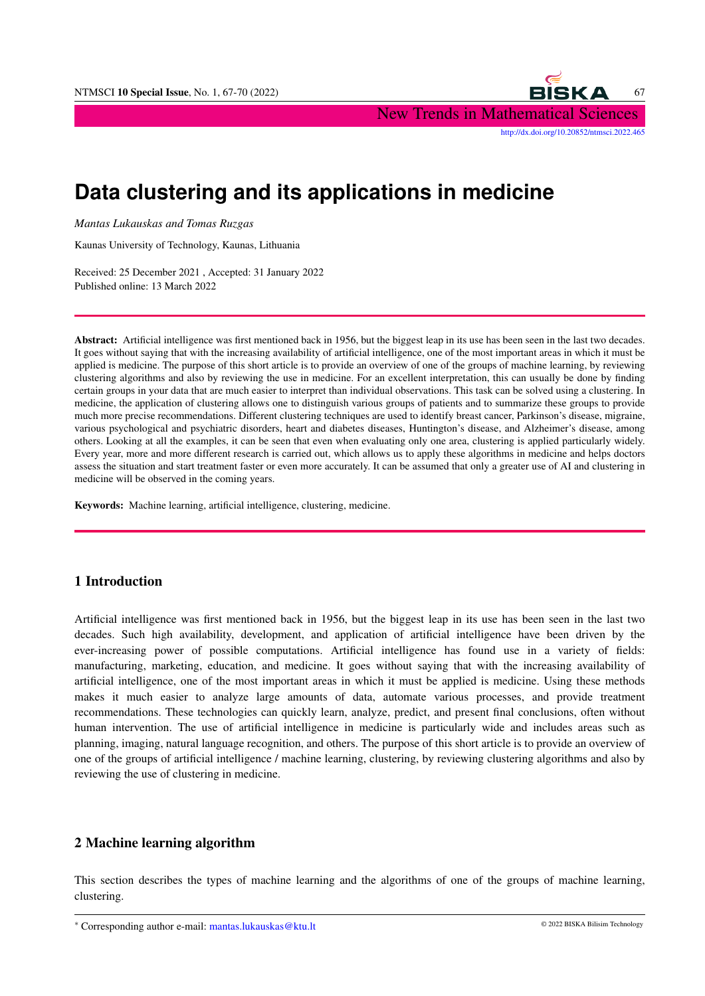

# **Data clustering and its applications in medicine**

*Mantas Lukauskas and Tomas Ruzgas*

Kaunas University of Technology, Kaunas, Lithuania

Received: 25 December 2021 , Accepted: 31 January 2022 Published online: 13 March 2022

Abstract: Artificial intelligence was first mentioned back in 1956, but the biggest leap in its use has been seen in the last two decades. It goes without saying that with the increasing availability of artificial intelligence, one of the most important areas in which it must be applied is medicine. The purpose of this short article is to provide an overview of one of the groups of machine learning, by reviewing clustering algorithms and also by reviewing the use in medicine. For an excellent interpretation, this can usually be done by finding certain groups in your data that are much easier to interpret than individual observations. This task can be solved using a clustering. In medicine, the application of clustering allows one to distinguish various groups of patients and to summarize these groups to provide much more precise recommendations. Different clustering techniques are used to identify breast cancer, Parkinson's disease, migraine, various psychological and psychiatric disorders, heart and diabetes diseases, Huntington's disease, and Alzheimer's disease, among others. Looking at all the examples, it can be seen that even when evaluating only one area, clustering is applied particularly widely. Every year, more and more different research is carried out, which allows us to apply these algorithms in medicine and helps doctors assess the situation and start treatment faster or even more accurately. It can be assumed that only a greater use of AI and clustering in medicine will be observed in the coming years.

Keywords: Machine learning, artificial intelligence, clustering, medicine.

## 1 Introduction

Artificial intelligence was first mentioned back in 1956, but the biggest leap in its use has been seen in the last two decades. Such high availability, development, and application of artificial intelligence have been driven by the ever-increasing power of possible computations. Artificial intelligence has found use in a variety of fields: manufacturing, marketing, education, and medicine. It goes without saying that with the increasing availability of artificial intelligence, one of the most important areas in which it must be applied is medicine. Using these methods makes it much easier to analyze large amounts of data, automate various processes, and provide treatment recommendations. These technologies can quickly learn, analyze, predict, and present final conclusions, often without human intervention. The use of artificial intelligence in medicine is particularly wide and includes areas such as planning, imaging, natural language recognition, and others. The purpose of this short article is to provide an overview of one of the groups of artificial intelligence / machine learning, clustering, by reviewing clustering algorithms and also by reviewing the use of clustering in medicine.

#### 2 Machine learning algorithm

This section describes the types of machine learning and the algorithms of one of the groups of machine learning, clustering.

<sup>∗</sup> Corresponding author e-mail: mantas.lukauskas@ktu.lt © 2022 BISKA Bilisim Technology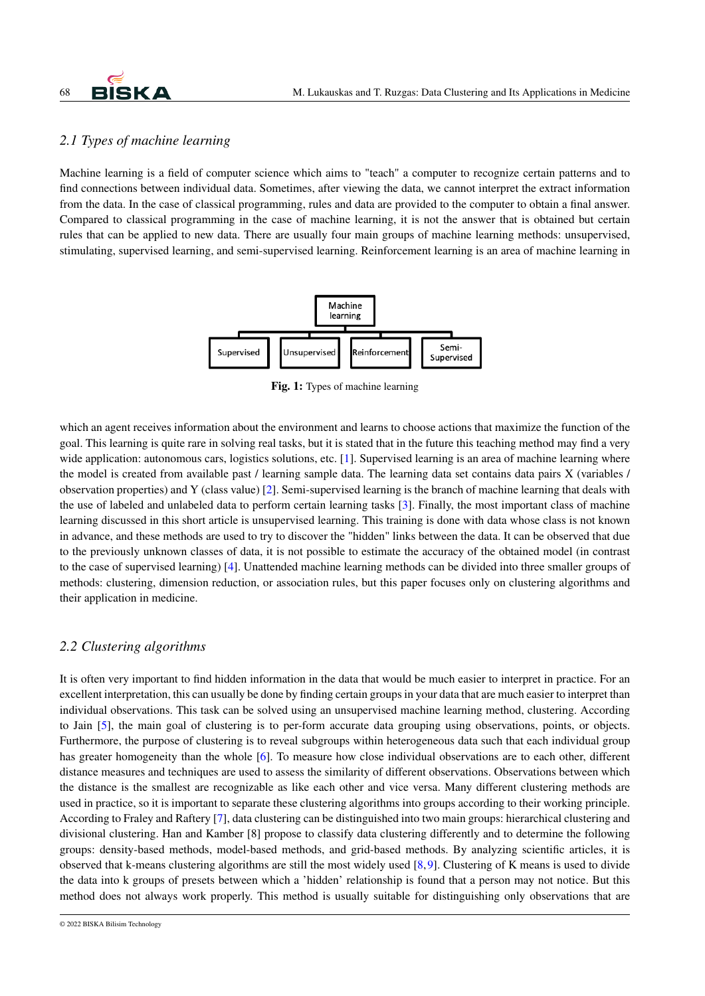

## *2.1 Types of machine learning*

Machine learning is a field of computer science which aims to "teach" a computer to recognize certain patterns and to find connections between individual data. Sometimes, after viewing the data, we cannot interpret the extract information from the data. In the case of classical programming, rules and data are provided to the computer to obtain a final answer. Compared to classical programming in the case of machine learning, it is not the answer that is obtained but certain rules that can be applied to new data. There are usually four main groups of machine learning methods: unsupervised, stimulating, supervised learning, and semi-supervised learning. Reinforcement learning is an area of machine learning in



Fig. 1: Types of machine learning

which an agent receives information about the environment and learns to choose actions that maximize the function of the goal. This learning is quite rare in solving real tasks, but it is stated that in the future this teaching method may find a very wide application: autonomous cars, logistics solutions, etc. [\[1\]](#page-2-0). Supervised learning is an area of machine learning where the model is created from available past / learning sample data. The learning data set contains data pairs X (variables / observation properties) and Y (class value) [\[2\]](#page-3-0). Semi-supervised learning is the branch of machine learning that deals with the use of labeled and unlabeled data to perform certain learning tasks [\[3\]](#page-3-1). Finally, the most important class of machine learning discussed in this short article is unsupervised learning. This training is done with data whose class is not known in advance, and these methods are used to try to discover the "hidden" links between the data. It can be observed that due to the previously unknown classes of data, it is not possible to estimate the accuracy of the obtained model (in contrast to the case of supervised learning) [\[4\]](#page-3-2). Unattended machine learning methods can be divided into three smaller groups of methods: clustering, dimension reduction, or association rules, but this paper focuses only on clustering algorithms and their application in medicine.

## *2.2 Clustering algorithms*

It is often very important to find hidden information in the data that would be much easier to interpret in practice. For an excellent interpretation, this can usually be done by finding certain groups in your data that are much easier to interpret than individual observations. This task can be solved using an unsupervised machine learning method, clustering. According to Jain [\[5\]](#page-3-3), the main goal of clustering is to per-form accurate data grouping using observations, points, or objects. Furthermore, the purpose of clustering is to reveal subgroups within heterogeneous data such that each individual group has greater homogeneity than the whole [\[6\]](#page-3-4). To measure how close individual observations are to each other, different distance measures and techniques are used to assess the similarity of different observations. Observations between which the distance is the smallest are recognizable as like each other and vice versa. Many different clustering methods are used in practice, so it is important to separate these clustering algorithms into groups according to their working principle. According to Fraley and Raftery [\[7\]](#page-3-5), data clustering can be distinguished into two main groups: hierarchical clustering and divisional clustering. Han and Kamber [8] propose to classify data clustering differently and to determine the following groups: density-based methods, model-based methods, and grid-based methods. By analyzing scientific articles, it is observed that k-means clustering algorithms are still the most widely used [\[8,](#page-3-6)[9\]](#page-3-7). Clustering of K means is used to divide the data into k groups of presets between which a 'hidden' relationship is found that a person may not notice. But this method does not always work properly. This method is usually suitable for distinguishing only observations that are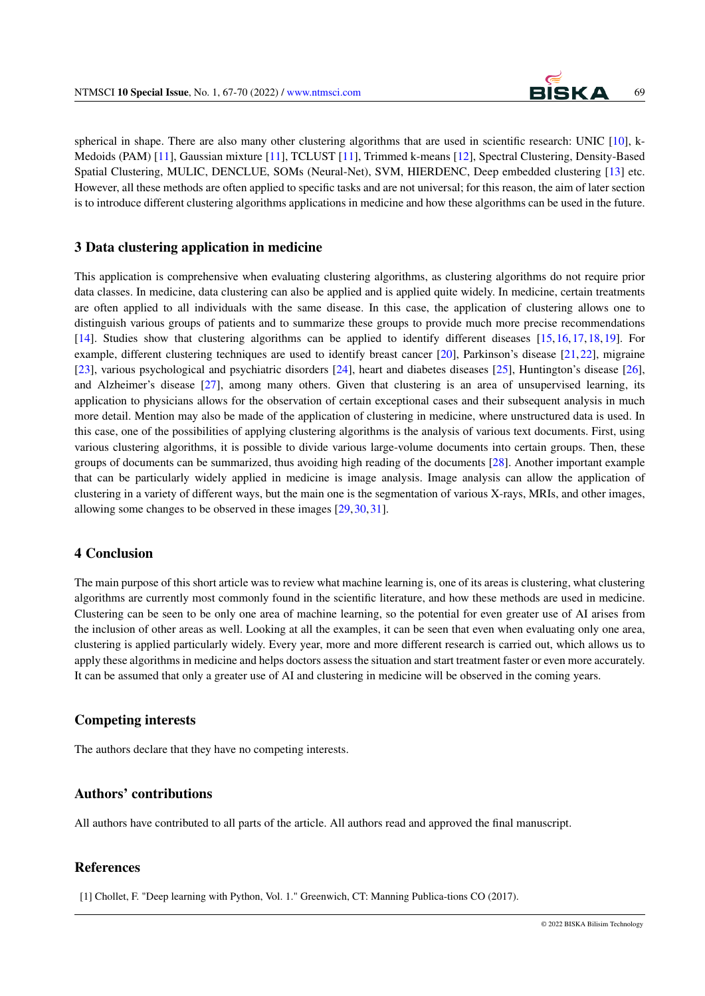

spherical in shape. There are also many other clustering algorithms that are used in scientific research: UNIC [\[10\]](#page-3-8), k-Medoids (PAM) [\[11\]](#page-3-9), Gaussian mixture [\[11\]](#page-3-9), TCLUST [\[11\]](#page-3-9), Trimmed k-means [\[12\]](#page-3-10), Spectral Clustering, Density-Based Spatial Clustering, MULIC, DENCLUE, SOMs (Neural-Net), SVM, HIERDENC, Deep embedded clustering [\[13\]](#page-3-11) etc. However, all these methods are often applied to specific tasks and are not universal; for this reason, the aim of later section is to introduce different clustering algorithms applications in medicine and how these algorithms can be used in the future.

#### 3 Data clustering application in medicine

This application is comprehensive when evaluating clustering algorithms, as clustering algorithms do not require prior data classes. In medicine, data clustering can also be applied and is applied quite widely. In medicine, certain treatments are often applied to all individuals with the same disease. In this case, the application of clustering allows one to distinguish various groups of patients and to summarize these groups to provide much more precise recommendations [\[14\]](#page-3-12). Studies show that clustering algorithms can be applied to identify different diseases [\[15,](#page-3-13)[16,](#page-3-14)[17,](#page-3-15)[18,](#page-3-16)[19\]](#page-3-17). For example, different clustering techniques are used to identify breast cancer [\[20\]](#page-3-18), Parkinson's disease [\[21,](#page-3-19)[22\]](#page-3-20), migraine [\[23\]](#page-3-21), various psychological and psychiatric disorders [\[24\]](#page-3-22), heart and diabetes diseases [\[25\]](#page-3-23), Huntington's disease [\[26\]](#page-3-24), and Alzheimer's disease [\[27\]](#page-3-25), among many others. Given that clustering is an area of unsupervised learning, its application to physicians allows for the observation of certain exceptional cases and their subsequent analysis in much more detail. Mention may also be made of the application of clustering in medicine, where unstructured data is used. In this case, one of the possibilities of applying clustering algorithms is the analysis of various text documents. First, using various clustering algorithms, it is possible to divide various large-volume documents into certain groups. Then, these groups of documents can be summarized, thus avoiding high reading of the documents [\[28\]](#page-3-26). Another important example that can be particularly widely applied in medicine is image analysis. Image analysis can allow the application of clustering in a variety of different ways, but the main one is the segmentation of various X-rays, MRIs, and other images, allowing some changes to be observed in these images [\[29,](#page-3-27)[30,](#page-3-28)[31\]](#page-3-29).

### 4 Conclusion

The main purpose of this short article was to review what machine learning is, one of its areas is clustering, what clustering algorithms are currently most commonly found in the scientific literature, and how these methods are used in medicine. Clustering can be seen to be only one area of machine learning, so the potential for even greater use of AI arises from the inclusion of other areas as well. Looking at all the examples, it can be seen that even when evaluating only one area, clustering is applied particularly widely. Every year, more and more different research is carried out, which allows us to apply these algorithms in medicine and helps doctors assess the situation and start treatment faster or even more accurately. It can be assumed that only a greater use of AI and clustering in medicine will be observed in the coming years.

## Competing interests

The authors declare that they have no competing interests.

#### Authors' contributions

All authors have contributed to all parts of the article. All authors read and approved the final manuscript.

#### **References**

<span id="page-2-0"></span>[1] Chollet, F. "Deep learning with Python, Vol. 1." Greenwich, CT: Manning Publica-tions CO (2017).